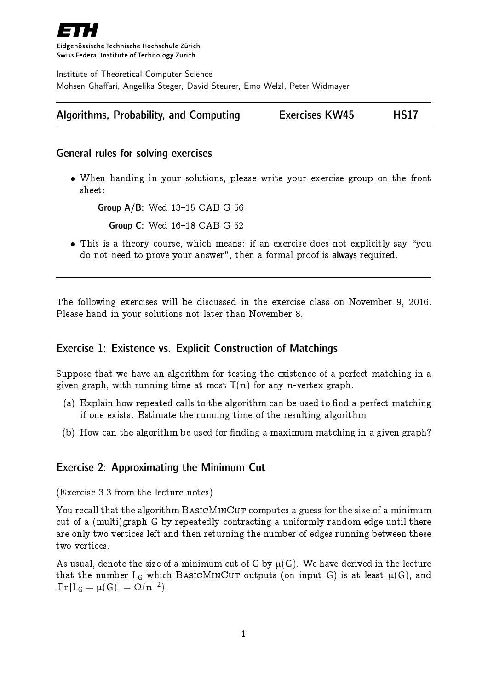

Eidgenössische Technische Hochschule Zürich Swiss Federal Institute of Technology Zurich

Institute of Theoretical Computer Science Mohsen Ghaffari, Angelika Steger, David Steurer, Emo Welzl, Peter Widmayer

|  | Algorithms, Probability, and Computing | <b>Exercises KW45</b> | <b>HS17</b> |
|--|----------------------------------------|-----------------------|-------------|
|--|----------------------------------------|-----------------------|-------------|

### General rules for solving exercises

 When handing in your solutions, please write your exercise group on the front sheet:

Group  $A/B$ : Wed  $13-15$  CAB G 56

**Group C: Wed 16-18 CAB G 52** 

• This is a theory course, which means: if an exercise does not explicitly say "you do not need to prove your answer", then a formal proof is always required.

The following exercises will be discussed in the exercise class on November 9, 2016. Please hand in your solutions not later than November 8.

# Exercise 1: Existence vs. Explicit Construction of Matchings

Suppose that we have an algorithm for testing the existence of a perfect matching in a given graph, with running time at most  $T(n)$  for any n-vertex graph.

- (a) Explain how repeated calls to the algorithm can be used to find a perfect matching if one exists. Estimate the running time of the resulting algorithm.
- (b) How can the algorithm be used for finding a maximum matching in a given graph?

# Exercise 2: Approximating the Minimum Cut

(Exercise 3.3 from the lecture notes)

You recall that the algorithm BASICMINCUT computes a guess for the size of a minimum cut of a (multi)graph G by repeatedly contracting a uniformly random edge until there are only two vertices left and then returning the number of edges running between these two vertices.

As usual, denote the size of a minimum cut of G by  $\mu(G)$ . We have derived in the lecture that the number  $L_G$  which BASICMINCUT outputs (on input G) is at least  $\mu(G)$ , and  $\Pr\left[\mathsf{L}_{\mathsf{G}}=\mu(\mathsf{G})\right]=\Omega(\mathfrak{n}^{-2}).$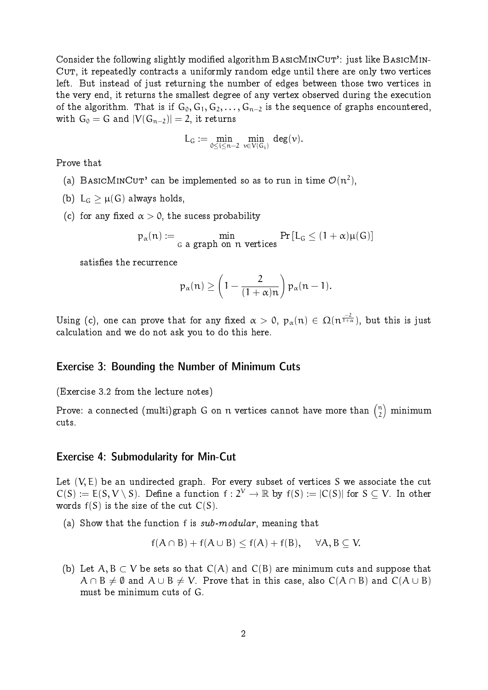Consider the following slightly modified algorithm  $BASICMINCUT'$ : just like  $BASICMIN-$ CUT, it repeatedly contracts a uniformly random edge until there are only two vertices left. But instead of just returning the number of edges between those two vertices in the very end, it returns the smallest degree of any vertex observed during the execution of the algorithm. That is if  $G_0, G_1, G_2, \ldots, G_{n-2}$  is the sequence of graphs encountered, with  $G_0 = G$  and  $|V(G_{n-2})| = 2$ , it returns

$$
L_G \mathrel{\mathop:}= \min_{0 \leq i \leq n-2} \, \min_{\nu \in V(G_i)} \, deg(\nu).
$$

Prove that

- (a) BASICMINCUT' can be implemented so as to run in time  $\mathcal{O}(n^2)$ ,
- (b)  $L_G \geq \mu(G)$  always holds,
- (c) for any fixed  $\alpha > 0$ , the sucess probability

$$
p_\alpha(n) := \min_{G \text{ a graph on } n \text{ vertices}} \Pr\left[L_G \leq (1+\alpha)\mu(G)\right]
$$

satisfies the recurrence

$$
p_{\alpha}(n) \ge \left(1 - \frac{2}{(1+\alpha)n}\right) p_{\alpha}(n-1).
$$

Using (c), one can prove that for any fixed  $\alpha>0,$   $p_\alpha(n)\in \Omega(n^{\frac{-2}{1+\alpha}}),$  but this is just calculation and we do not ask you to do this here.

#### Exercise 3: Bounding the Number of Minimum Cuts

(Exercise 3.2 from the lecture notes)

Prove: a connected (multi)graph G on  $\bm{{\mathsf n}}$  vertices cannot have more than  ${n \choose 2}$  $\binom{n}{2}$  minimum cuts.

#### Exercise 4: Submodularity for Min-Cut

Let  $(V, E)$  be an undirected graph. For every subset of vertices S we associate the cut  $C(S) := E(S, V \setminus S)$ . Define a function  $f : 2^V \to \mathbb{R}$  by  $f(S) := |C(S)|$  for  $S \subseteq V$ . In other words  $f(S)$  is the size of the cut  $C(S)$ .

(a) Show that the function f is sub-modular, meaning that

$$
f(A \cap B) + f(A \cup B) \le f(A) + f(B), \quad \forall A, B \subseteq V.
$$

(b) Let A, B  $\subset$  V be sets so that  $C(A)$  and  $C(B)$  are minimum cuts and suppose that  $A \cap B \neq \emptyset$  and  $A \cup B \neq V$ . Prove that in this case, also  $C(A \cap B)$  and  $C(A \cup B)$ must be minimum cuts of G.